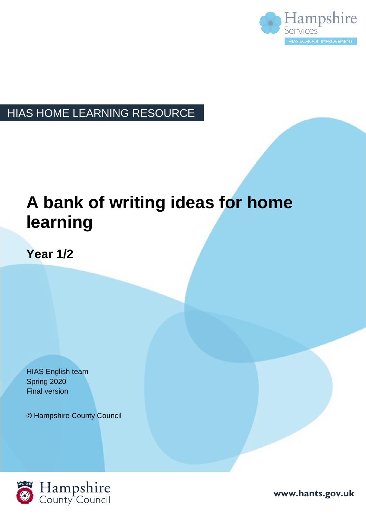

## HIAS HOME LEARNING RESOURCE

## **A bank of writing ideas for home learning**

**Year 1/2**

HIAS English team Spring 2020 Final version

© Hampshire County Council



**www.hants.gov.uk**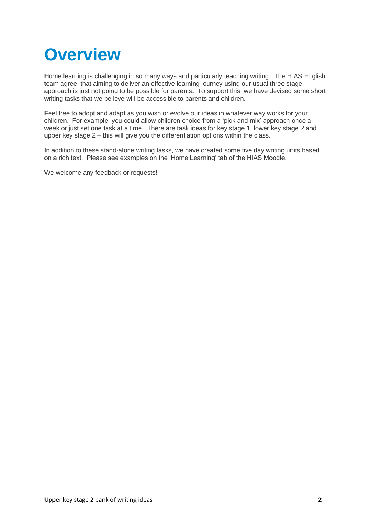## **Overview**

Home learning is challenging in so many ways and particularly teaching writing. The HIAS English team agree, that aiming to deliver an effective learning journey using our usual three stage approach is just not going to be possible for parents. To support this, we have devised some short writing tasks that we believe will be accessible to parents and children.

Feel free to adopt and adapt as you wish or evolve our ideas in whatever way works for your children. For example, you could allow children choice from a 'pick and mix' approach once a week or just set one task at a time. There are task ideas for key stage 1, lower key stage 2 and upper key stage 2 – this will give you the differentiation options within the class.

In addition to these stand-alone writing tasks, we have created some five day writing units based on a rich text. Please see examples on the 'Home Learning' tab of the HIAS Moodle.

We welcome any feedback or requests!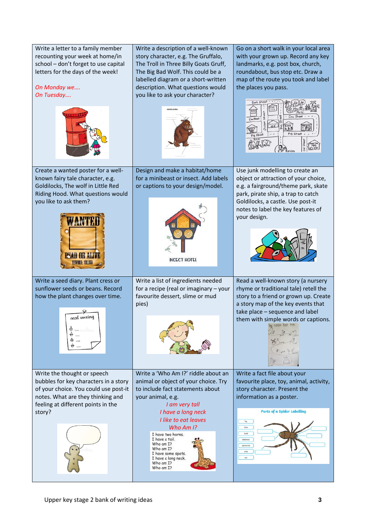| Write a letter to a family member<br>recounting your week at home/in<br>school - don't forget to use capital<br>letters for the days of the week!<br>On Monday we<br>On Tuesday                    | Write a description of a well-known<br>story character, e.g. The Gruffalo,<br>The Troll in Three Billy Goats Gruff,<br>The Big Bad Wolf. This could be a<br>labelled diagram or a short-written<br>description. What questions would<br>you like to ask your character?                                                                                   | Go on a short walk in your local area<br>with your grown up. Record any key<br>landmarks, e.g. post box, church,<br>roundabout, bus stop etc. Draw a<br>map of the route you took and label<br>the places you pass.<br>Duck Street<br>Pig Street |
|----------------------------------------------------------------------------------------------------------------------------------------------------------------------------------------------------|-----------------------------------------------------------------------------------------------------------------------------------------------------------------------------------------------------------------------------------------------------------------------------------------------------------------------------------------------------------|--------------------------------------------------------------------------------------------------------------------------------------------------------------------------------------------------------------------------------------------------|
| Create a wanted poster for a well-<br>known fairy tale character, e.g.<br>Goldilocks, The wolf in Little Red<br>Riding Hood. What questions would<br>you like to ask them?<br><b>PSAH OR ALIV</b>  | Design and make a habitat/home<br>for a minibeast or insect. Add labels<br>or captions to your design/model.<br><b>INSECT HOTEL</b>                                                                                                                                                                                                                       | Use junk modelling to create an<br>object or attraction of your choice,<br>e.g. a fairground/theme park, skate<br>park, pirate ship, a trap to catch<br>Goldilocks, a castle. Use post-it<br>notes to label the key features of<br>your design.  |
| Write a seed diary. Plant cress or<br>sunflower seeds or beans. Record<br>how the plant changes over time.<br>seed sowing<br>ġ.<br>$\H \oplus -$<br><del>Ô</del> –                                 | Write a list of ingredients needed<br>for a recipe (real or imaginary - your<br>favourite dessert, slime or mud<br>pies)                                                                                                                                                                                                                                  | Read a well-known story (a nursery<br>rhyme or traditional tale) retell the<br>story to a friend or grown up. Create<br>a story map of the key events that<br>take place - sequence and label<br>them with simple words or captions.             |
| Write the thought or speech<br>bubbles for key characters in a story<br>of your choice. You could use post-it<br>notes. What are they thinking and<br>feeling at different points in the<br>story? | Write a 'Who Am I?' riddle about an<br>animal or object of your choice. Try<br>to include fact statements about<br>your animal, e.g.<br>I am very tall<br>I have a long neck<br>I like to eat leaves<br>Who Am I?<br>I have two horns.<br>I have a tail.<br>Who am I?<br>Who am I?<br>I have some spots.<br>I have a long neck.<br>Who am I?<br>Who am I? | Write a fact file about your<br>favourite place, toy, animal, activity,<br>story character. Present the<br>information as a poster.<br>Parts of a Spider Labelling<br>claw<br>head<br>abdamer<br>spinnents<br>palp<br>our                        |